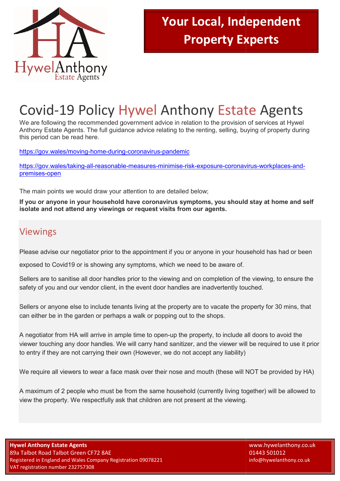

# Covid-19 Policy Hywel Anthony Estate Agents

We are following the recommended government advice in relation to the provision of services at Hywel We are following the recommended government advice in relation to the provision of services at Hywel<br>Anthony Estate Agents. The full guidance advice relating to the renting, selling, buying of property during this period can be read here. Anthony Estate Agents. The full guidance advice relating to the renting, selling, buying of property durir<br>this period can be read here.<br><u>https://gov.wales/moving-home-during-coronavirus-pandemic</u><br>https://gov.wales/taking-

https://gov.wales/moving-home-during-coronavirus-pandemic

premises-open

The main points we would draw your attention to are detailed below;

If you or anyone in your household have coronavirus symptoms, you should stay at home and self **isolate and not attend any viewings viewings or request visits from our agents.** 

### Viewings

Please advise our negotiator prior to the appointment if you or anyone in your household has had or been

exposed to Covid19 or is showing any symptoms, which we need to be aware of.

Please advise our negotiator prior to the appointment if you or anyone in your household has had or been<br>exposed to Covid19 or is showing any symptoms, which we need to be aware of.<br>Sellers are to sanitise all door handles safety of you and our vendor client, in the event door handles are inadvertently touched. of the viewing, to ensure the<br>y touched.<br>ne property for 30 mins, that

Sellers or anyone else to include tenants living at the property are to vacate the property for 3 can either be in the garden or perhaps a walk or popping out to the shops. safety of you and our vendor client, in the event door handles are inadvertently touched.<br>Sellers or anyone else to include tenants living at the property are to vacate the property for 30 mins, the can either be in the ga

A negotiator from HA will arrive in ample time to open-up the property, to include all doors to avoid the viewer touching any door handles. We will carry hand sanitizer, and the viewer will be required to use it prior to entry if they are not carrying their own (However, we do not accept any liability) up the property, to include all doors to avoid the<br>sanitizer, and the viewer will be required to use it price<br>of do not accept any liability)<br>nose and mouth (these will NOT be provided by HA)

We require all viewers to wear a face mask over their nose and mouth (these will NOT be provided by

A maximum of 2 people who must be from the same household (currently living together) will be allowed to view the property. We respectfully ask that children are not present at the viewing. if they are not carrying their own (However, we do not accept any liability)<br>uire all viewers to wear a face mask over their nose and mouth (these will NOT be provided by<br>num of 2 people who must be from the same household